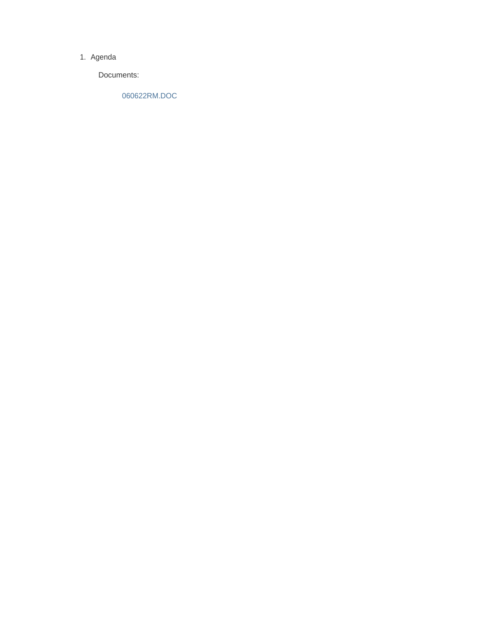#### 1. Agenda

Documents:

060622RM.DOC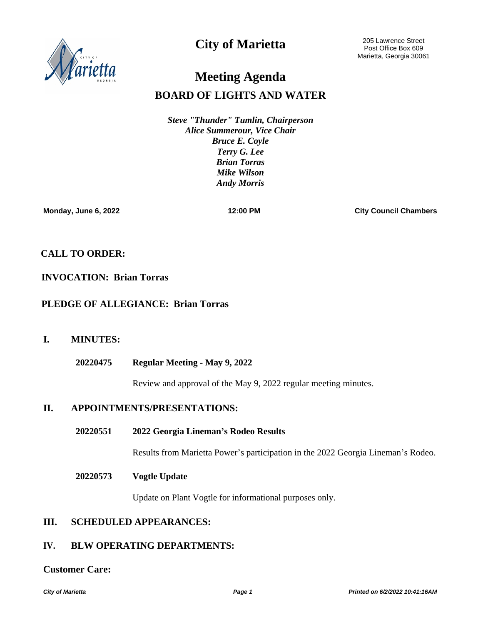

# **City of Marietta**

205 Lawrence Street Post Office Box 609 Marietta, Georgia 30061

# **BOARD OF LIGHTS AND WATER Meeting Agenda**

*Steve "Thunder" Tumlin, Chairperson Alice Summerour, Vice Chair Bruce E. Coyle Terry G. Lee Brian Torras Mike Wilson Andy Morris*

**Monday, June 6, 2022 12:00 PM City Council Chambers**

# **CALL TO ORDER:**

# **INVOCATION: Brian Torras**

# **PLEDGE OF ALLEGIANCE: Brian Torras**

# **I. MINUTES:**

**Regular Meeting - May 9, 2022 20220475**

Review and approval of the May 9, 2022 regular meeting minutes.

## **II. APPOINTMENTS/PRESENTATIONS:**

**2022 Georgia Lineman's Rodeo Results 20220551**

Results from Marietta Power's participation in the 2022 Georgia Lineman's Rodeo.

#### **Vogtle Update 20220573**

Update on Plant Vogtle for informational purposes only.

# **III. SCHEDULED APPEARANCES:**

# **IV. BLW OPERATING DEPARTMENTS:**

### **Customer Care:**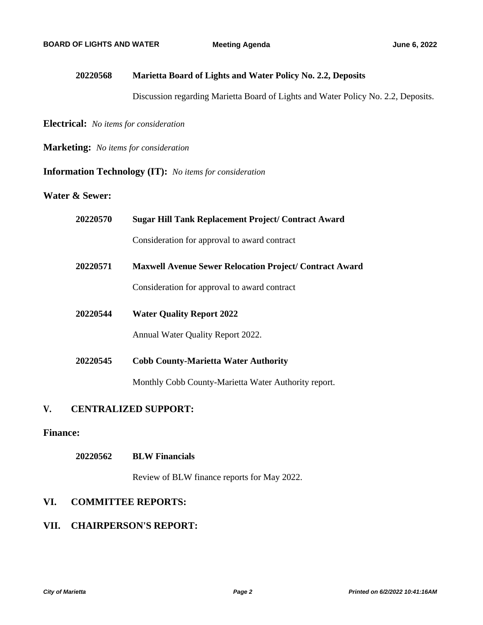#### **Marietta Board of Lights and Water Policy No. 2.2, Deposits 20220568**

Discussion regarding Marietta Board of Lights and Water Policy No. 2.2, Deposits.

**Electrical:** *No items for consideration*

**Marketing:** *No items for consideration*

### **Information Technology (IT):** *No items for consideration*

### **Water & Sewer:**

| 20220570 | <b>Sugar Hill Tank Replacement Project/ Contract Award</b>     |
|----------|----------------------------------------------------------------|
|          | Consideration for approval to award contract                   |
| 20220571 | <b>Maxwell Avenue Sewer Relocation Project/ Contract Award</b> |
|          | Consideration for approval to award contract                   |
| 20220544 | <b>Water Quality Report 2022</b>                               |
|          | Annual Water Quality Report 2022.                              |
| 20220545 | <b>Cobb County-Marietta Water Authority</b>                    |
|          | Monthly Cobb County-Marietta Water Authority report.           |

# **V. CENTRALIZED SUPPORT:**

### **Finance:**

#### **BLW Financials 20220562**

Review of BLW finance reports for May 2022.

# **VI. COMMITTEE REPORTS:**

# **VII. CHAIRPERSON'S REPORT:**